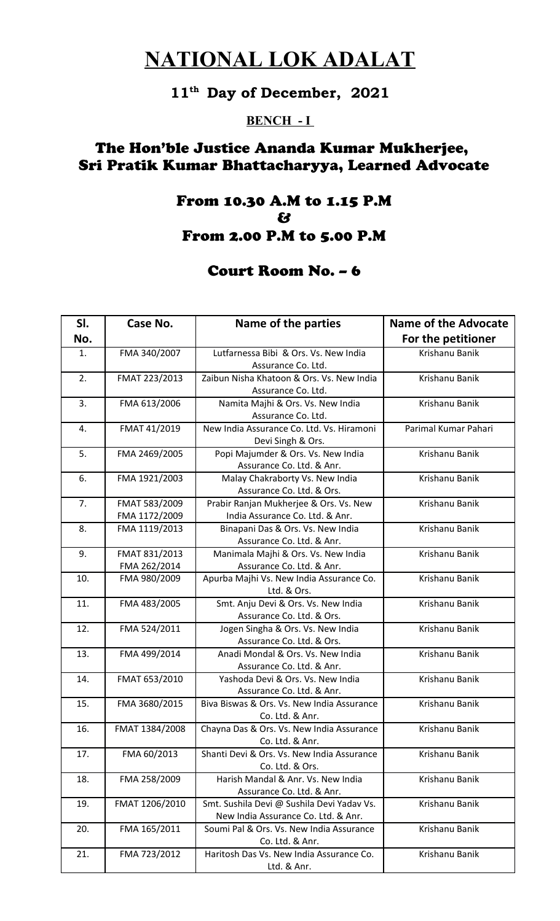# **NATIONAL LOK ADALAT**

## **11th Day of December, 2021**

#### **BENCH - I**

## The Hon'ble Justice Ananda Kumar Mukherjee, Sri Pratik Kumar Bhattacharyya, Learned Advocate

### From 10.30 A.M to 1.15 P.M & From 2.00 P.M to 5.00 P.M

### Court Room No. – 6

| SI. | Case No.       | Name of the parties                                         | <b>Name of the Advocate</b> |
|-----|----------------|-------------------------------------------------------------|-----------------------------|
| No. |                |                                                             | For the petitioner          |
| 1.  | FMA 340/2007   | Lutfarnessa Bibi & Ors. Vs. New India<br>Assurance Co. Ltd. | Krishanu Banik              |
| 2.  | FMAT 223/2013  | Zaibun Nisha Khatoon & Ors. Vs. New India                   | Krishanu Banik              |
|     |                | Assurance Co. Ltd.                                          |                             |
| 3.  | FMA 613/2006   | Namita Majhi & Ors. Vs. New India                           | Krishanu Banik              |
|     |                | Assurance Co. Ltd.                                          |                             |
| 4.  | FMAT 41/2019   | New India Assurance Co. Ltd. Vs. Hiramoni                   | Parimal Kumar Pahari        |
|     |                | Devi Singh & Ors.                                           |                             |
| 5.  | FMA 2469/2005  | Popi Majumder & Ors. Vs. New India                          | Krishanu Banik              |
|     |                | Assurance Co. Ltd. & Anr.                                   |                             |
| 6.  | FMA 1921/2003  | Malay Chakraborty Vs. New India                             | Krishanu Banik              |
|     |                | Assurance Co. Ltd. & Ors.                                   |                             |
| 7.  | FMAT 583/2009  | Prabir Ranjan Mukherjee & Ors. Vs. New                      | Krishanu Banik              |
|     | FMA 1172/2009  | India Assurance Co. Ltd. & Anr.                             |                             |
| 8.  | FMA 1119/2013  | Binapani Das & Ors. Vs. New India                           | Krishanu Banik              |
|     |                | Assurance Co. Ltd. & Anr.                                   |                             |
| 9.  | FMAT 831/2013  | Manimala Majhi & Ors. Vs. New India                         | Krishanu Banik              |
|     | FMA 262/2014   | Assurance Co. Ltd. & Anr.                                   |                             |
| 10. | FMA 980/2009   | Apurba Majhi Vs. New India Assurance Co.                    | Krishanu Banik              |
|     |                | Ltd. & Ors.                                                 |                             |
| 11. | FMA 483/2005   | Smt. Anju Devi & Ors. Vs. New India                         | Krishanu Banik              |
|     |                | Assurance Co. Ltd. & Ors.                                   |                             |
| 12. | FMA 524/2011   | Jogen Singha & Ors. Vs. New India                           | Krishanu Banik              |
|     |                | Assurance Co. Ltd. & Ors.                                   |                             |
| 13. | FMA 499/2014   | Anadi Mondal & Ors. Vs. New India                           | Krishanu Banik              |
|     |                | Assurance Co. Ltd. & Anr.                                   |                             |
| 14. | FMAT 653/2010  | Yashoda Devi & Ors. Vs. New India                           | Krishanu Banik              |
|     |                | Assurance Co. Ltd. & Anr.                                   |                             |
| 15. | FMA 3680/2015  | Biva Biswas & Ors. Vs. New India Assurance                  | Krishanu Banik              |
|     |                | Co. Ltd. & Anr.                                             |                             |
| 16. | FMAT 1384/2008 | Chayna Das & Ors. Vs. New India Assurance                   | Krishanu Banik              |
|     |                | Co. Ltd. & Anr.                                             |                             |
| 17. | FMA 60/2013    | Shanti Devi & Ors. Vs. New India Assurance                  | Krishanu Banik              |
|     |                | Co. Ltd. & Ors.                                             |                             |
| 18. | FMA 258/2009   | Harish Mandal & Anr. Vs. New India                          | Krishanu Banik              |
|     |                | Assurance Co. Ltd. & Anr.                                   |                             |
| 19. | FMAT 1206/2010 | Smt. Sushila Devi @ Sushila Devi Yadav Vs.                  | Krishanu Banik              |
|     |                | New India Assurance Co. Ltd. & Anr.                         |                             |
| 20. | FMA 165/2011   | Soumi Pal & Ors. Vs. New India Assurance                    | Krishanu Banik              |
|     |                | Co. Ltd. & Anr.                                             |                             |
| 21. | FMA 723/2012   | Haritosh Das Vs. New India Assurance Co.                    | Krishanu Banik              |
|     |                | Ltd. & Anr.                                                 |                             |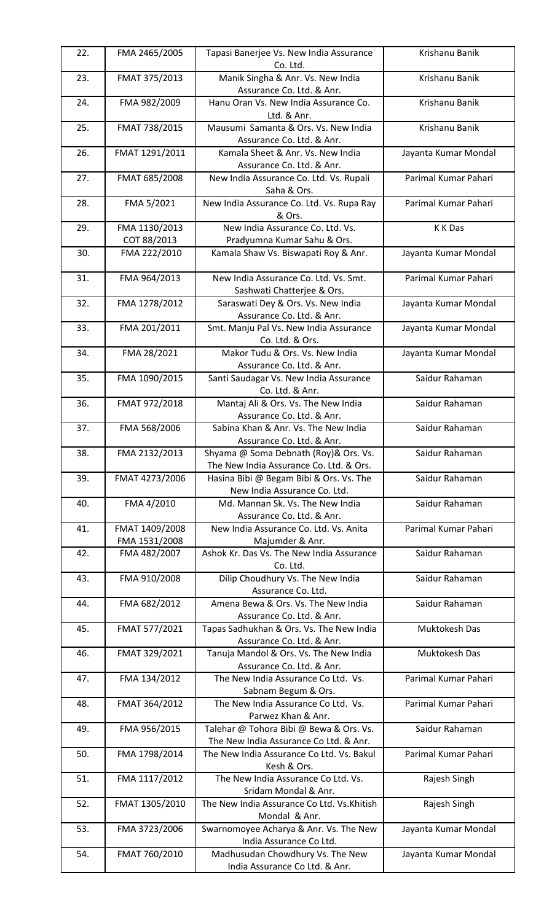| 22. | FMA 2465/2005                   | Tapasi Banerjee Vs. New India Assurance<br>Co. Ltd.                               | Krishanu Banik       |
|-----|---------------------------------|-----------------------------------------------------------------------------------|----------------------|
| 23. | FMAT 375/2013                   | Manik Singha & Anr. Vs. New India<br>Assurance Co. Ltd. & Anr.                    | Krishanu Banik       |
| 24. | FMA 982/2009                    | Hanu Oran Vs. New India Assurance Co.<br>Ltd. & Anr.                              | Krishanu Banik       |
| 25. | FMAT 738/2015                   | Mausumi Samanta & Ors. Vs. New India<br>Assurance Co. Ltd. & Anr.                 | Krishanu Banik       |
| 26. | FMAT 1291/2011                  | Kamala Sheet & Anr. Vs. New India<br>Assurance Co. Ltd. & Anr.                    | Jayanta Kumar Mondal |
| 27. | FMAT 685/2008                   | New India Assurance Co. Ltd. Vs. Rupali<br>Saha & Ors.                            | Parimal Kumar Pahari |
| 28. | FMA 5/2021                      | New India Assurance Co. Ltd. Vs. Rupa Ray<br>& Ors.                               | Parimal Kumar Pahari |
| 29. | FMA 1130/2013<br>COT 88/2013    | New India Assurance Co. Ltd. Vs.<br>Pradyumna Kumar Sahu & Ors.                   | K K Das              |
| 30. | FMA 222/2010                    | Kamala Shaw Vs. Biswapati Roy & Anr.                                              | Jayanta Kumar Mondal |
| 31. | FMA 964/2013                    | New India Assurance Co. Ltd. Vs. Smt.<br>Sashwati Chatterjee & Ors.               | Parimal Kumar Pahari |
| 32. | FMA 1278/2012                   | Saraswati Dey & Ors. Vs. New India<br>Assurance Co. Ltd. & Anr.                   | Jayanta Kumar Mondal |
| 33. | FMA 201/2011                    | Smt. Manju Pal Vs. New India Assurance<br>Co. Ltd. & Ors.                         | Jayanta Kumar Mondal |
| 34. | FMA 28/2021                     | Makor Tudu & Ors. Vs. New India<br>Assurance Co. Ltd. & Anr.                      | Jayanta Kumar Mondal |
| 35. | FMA 1090/2015                   | Santi Saudagar Vs. New India Assurance<br>Co. Ltd. & Anr.                         | Saidur Rahaman       |
| 36. | FMAT 972/2018                   | Mantaj Ali & Ors. Vs. The New India<br>Assurance Co. Ltd. & Anr.                  | Saidur Rahaman       |
| 37. | FMA 568/2006                    | Sabina Khan & Anr. Vs. The New India<br>Assurance Co. Ltd. & Anr.                 | Saidur Rahaman       |
| 38. | FMA 2132/2013                   | Shyama @ Soma Debnath (Roy)& Ors. Vs.<br>The New India Assurance Co. Ltd. & Ors.  | Saidur Rahaman       |
| 39. | FMAT 4273/2006                  | Hasina Bibi @ Begam Bibi & Ors. Vs. The<br>New India Assurance Co. Ltd.           | Saidur Rahaman       |
| 40. | FMA 4/2010                      | Md. Mannan Sk. Vs. The New India<br>Assurance Co. Ltd. & Anr.                     | Saidur Rahaman       |
| 41. | FMAT 1409/2008<br>FMA 1531/2008 | New India Assurance Co. Ltd. Vs. Anita<br>Majumder & Anr.                         | Parimal Kumar Pahari |
| 42. | FMA 482/2007                    | Ashok Kr. Das Vs. The New India Assurance<br>Co. Ltd.                             | Saidur Rahaman       |
| 43. | FMA 910/2008                    | Dilip Choudhury Vs. The New India<br>Assurance Co. Ltd.                           | Saidur Rahaman       |
| 44. | FMA 682/2012                    | Amena Bewa & Ors. Vs. The New India<br>Assurance Co. Ltd. & Anr.                  | Saidur Rahaman       |
| 45. | FMAT 577/2021                   | Tapas Sadhukhan & Ors. Vs. The New India<br>Assurance Co. Ltd. & Anr.             | Muktokesh Das        |
| 46. | FMAT 329/2021                   | Tanuja Mandol & Ors. Vs. The New India<br>Assurance Co. Ltd. & Anr.               | Muktokesh Das        |
| 47. | FMA 134/2012                    | The New India Assurance Co Ltd. Vs.<br>Sabnam Begum & Ors.                        | Parimal Kumar Pahari |
| 48. | FMAT 364/2012                   | The New India Assurance Co Ltd. Vs.<br>Parwez Khan & Anr.                         | Parimal Kumar Pahari |
| 49. | FMA 956/2015                    | Talehar @ Tohora Bibi @ Bewa & Ors. Vs.<br>The New India Assurance Co Ltd. & Anr. | Saidur Rahaman       |
| 50. | FMA 1798/2014                   | The New India Assurance Co Ltd. Vs. Bakul<br>Kesh & Ors.                          | Parimal Kumar Pahari |
| 51. | FMA 1117/2012                   | The New India Assurance Co Ltd. Vs.<br>Sridam Mondal & Anr.                       | Rajesh Singh         |
| 52. | FMAT 1305/2010                  | The New India Assurance Co Ltd. Vs.Khitish<br>Mondal & Anr.                       | Rajesh Singh         |
| 53. | FMA 3723/2006                   | Swarnomoyee Acharya & Anr. Vs. The New<br>India Assurance Co Ltd.                 | Jayanta Kumar Mondal |
| 54. | FMAT 760/2010                   | Madhusudan Chowdhury Vs. The New<br>India Assurance Co Ltd. & Anr.                | Jayanta Kumar Mondal |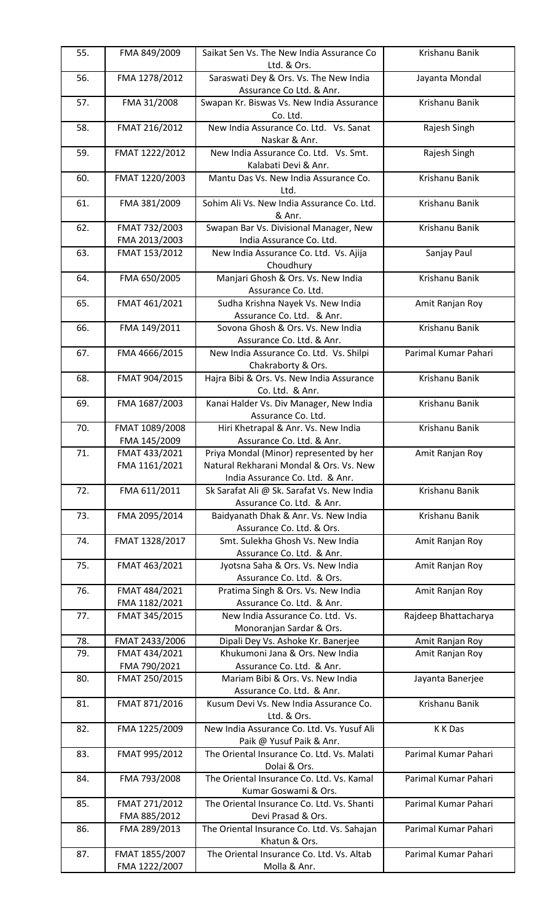| 55. | FMA 849/2009                    | Saikat Sen Vs. The New India Assurance Co                                     | Krishanu Banik       |
|-----|---------------------------------|-------------------------------------------------------------------------------|----------------------|
| 56. | FMA 1278/2012                   | Ltd. & Ors.<br>Saraswati Dey & Ors. Vs. The New India                         | Jayanta Mondal       |
|     |                                 | Assurance Co Ltd. & Anr.                                                      |                      |
| 57. | FMA 31/2008                     | Swapan Kr. Biswas Vs. New India Assurance<br>Co. Ltd.                         | Krishanu Banik       |
| 58. | FMAT 216/2012                   | New India Assurance Co. Ltd. Vs. Sanat<br>Naskar & Anr.                       | Rajesh Singh         |
| 59. | FMAT 1222/2012                  | New India Assurance Co. Ltd. Vs. Smt.<br>Kalabati Devi & Anr.                 | Rajesh Singh         |
| 60. | FMAT 1220/2003                  | Mantu Das Vs. New India Assurance Co.<br>Ltd.                                 | Krishanu Banik       |
| 61. | FMA 381/2009                    | Sohim Ali Vs. New India Assurance Co. Ltd.<br>& Anr.                          | Krishanu Banik       |
| 62. | FMAT 732/2003<br>FMA 2013/2003  | Swapan Bar Vs. Divisional Manager, New<br>India Assurance Co. Ltd.            | Krishanu Banik       |
| 63. | FMAT 153/2012                   | New India Assurance Co. Ltd. Vs. Ajija<br>Choudhury                           | Sanjay Paul          |
| 64. | FMA 650/2005                    | Manjari Ghosh & Ors. Vs. New India<br>Assurance Co. Ltd.                      | Krishanu Banik       |
| 65. | FMAT 461/2021                   | Sudha Krishna Nayek Vs. New India<br>Assurance Co. Ltd. & Anr.                | Amit Ranjan Roy      |
| 66. | FMA 149/2011                    | Sovona Ghosh & Ors. Vs. New India<br>Assurance Co. Ltd. & Anr.                | Krishanu Banik       |
| 67. | FMA 4666/2015                   | New India Assurance Co. Ltd. Vs. Shilpi<br>Chakraborty & Ors.                 | Parimal Kumar Pahari |
| 68. | FMAT 904/2015                   | Hajra Bibi & Ors. Vs. New India Assurance<br>Co. Ltd. & Anr.                  | Krishanu Banik       |
| 69. | FMA 1687/2003                   | Kanai Halder Vs. Div Manager, New India<br>Assurance Co. Ltd.                 | Krishanu Banik       |
| 70. | FMAT 1089/2008<br>FMA 145/2009  | Hiri Khetrapal & Anr. Vs. New India<br>Assurance Co. Ltd. & Anr.              | Krishanu Banik       |
| 71. | FMAT 433/2021                   | Priya Mondal (Minor) represented by her                                       | Amit Ranjan Roy      |
|     | FMA 1161/2021                   | Natural Rekharani Mondal & Ors. Vs. New                                       |                      |
| 72. |                                 | India Assurance Co. Ltd. & Anr.<br>Sk Sarafat Ali @ Sk. Sarafat Vs. New India | Krishanu Banik       |
|     | FMA 611/2011                    | Assurance Co. Ltd. & Anr.                                                     |                      |
| 73. | FMA 2095/2014                   | Baidyanath Dhak & Anr. Vs. New India<br>Assurance Co. Ltd. & Ors.             | Krishanu Banik       |
| 74. | FMAT 1328/2017                  | Smt. Sulekha Ghosh Vs. New India<br>Assurance Co. Ltd. & Anr.                 | Amit Ranjan Roy      |
| 75. | FMAT 463/2021                   | Jyotsna Saha & Ors. Vs. New India<br>Assurance Co. Ltd. & Ors.                | Amit Ranjan Roy      |
| 76. | FMAT 484/2021<br>FMA 1182/2021  | Pratima Singh & Ors. Vs. New India<br>Assurance Co. Ltd. & Anr.               | Amit Ranjan Roy      |
| 77. | FMAT 345/2015                   | New India Assurance Co. Ltd. Vs.<br>Monoranjan Sardar & Ors.                  | Rajdeep Bhattacharya |
| 78. | FMAT 2433/2006                  | Dipali Dey Vs. Ashoke Kr. Banerjee                                            | Amit Ranjan Roy      |
| 79. | FMAT 434/2021                   | Khukumoni Jana & Ors. New India                                               | Amit Ranjan Roy      |
| 80. | FMA 790/2021<br>FMAT 250/2015   | Assurance Co. Ltd. & Anr.<br>Mariam Bibi & Ors. Vs. New India                 | Jayanta Banerjee     |
| 81. | FMAT 871/2016                   | Assurance Co. Ltd. & Anr.<br>Kusum Devi Vs. New India Assurance Co.           | Krishanu Banik       |
| 82. | FMA 1225/2009                   | Ltd. & Ors.<br>New India Assurance Co. Ltd. Vs. Yusuf Ali                     | K K Das              |
| 83. | FMAT 995/2012                   | Paik @ Yusuf Paik & Anr.<br>The Oriental Insurance Co. Ltd. Vs. Malati        | Parimal Kumar Pahari |
| 84. | FMA 793/2008                    | Dolai & Ors.<br>The Oriental Insurance Co. Ltd. Vs. Kamal                     | Parimal Kumar Pahari |
| 85. | FMAT 271/2012                   | Kumar Goswami & Ors.<br>The Oriental Insurance Co. Ltd. Vs. Shanti            | Parimal Kumar Pahari |
|     | FMA 885/2012                    | Devi Prasad & Ors.                                                            |                      |
| 86. | FMA 289/2013                    | The Oriental Insurance Co. Ltd. Vs. Sahajan<br>Khatun & Ors.                  | Parimal Kumar Pahari |
| 87. | FMAT 1855/2007<br>FMA 1222/2007 | The Oriental Insurance Co. Ltd. Vs. Altab<br>Molla & Anr.                     | Parimal Kumar Pahari |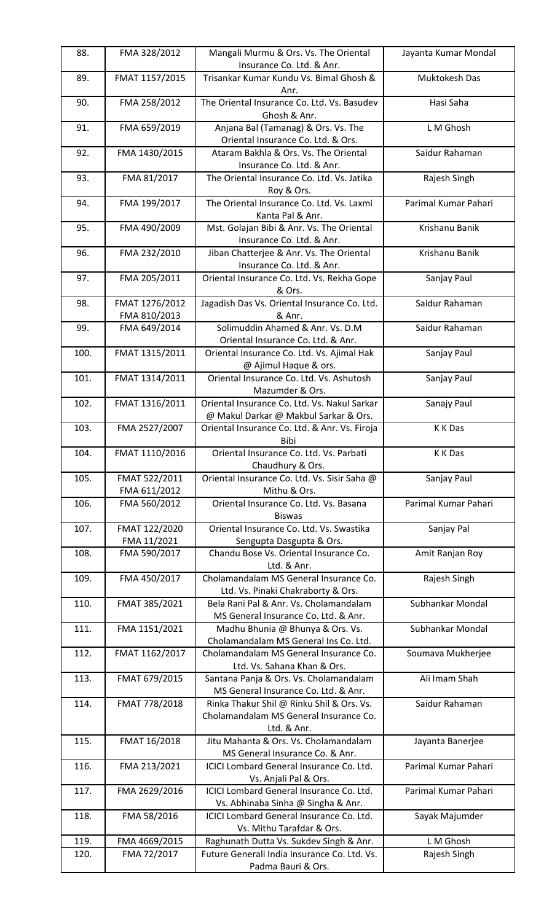| 88.  | FMA 328/2012                   | Mangali Murmu & Ors. Vs. The Oriental<br>Insurance Co. Ltd. & Anr.                                          | Jayanta Kumar Mondal |
|------|--------------------------------|-------------------------------------------------------------------------------------------------------------|----------------------|
| 89.  | FMAT 1157/2015                 | Trisankar Kumar Kundu Vs. Bimal Ghosh &<br>Anr.                                                             | Muktokesh Das        |
| 90.  | FMA 258/2012                   | The Oriental Insurance Co. Ltd. Vs. Basudev<br>Ghosh & Anr.                                                 | Hasi Saha            |
| 91.  | FMA 659/2019                   | Anjana Bal (Tamanag) & Ors. Vs. The<br>Oriental Insurance Co. Ltd. & Ors.                                   | L M Ghosh            |
| 92.  | FMA 1430/2015                  | Ataram Bakhla & Ors. Vs. The Oriental<br>Insurance Co. Ltd. & Anr.                                          | Saidur Rahaman       |
| 93.  | FMA 81/2017                    | The Oriental Insurance Co. Ltd. Vs. Jatika<br>Roy & Ors.                                                    | Rajesh Singh         |
| 94.  | FMA 199/2017                   | The Oriental Insurance Co. Ltd. Vs. Laxmi<br>Kanta Pal & Anr.                                               | Parimal Kumar Pahari |
| 95.  | FMA 490/2009                   | Mst. Golajan Bibi & Anr. Vs. The Oriental<br>Insurance Co. Ltd. & Anr.                                      | Krishanu Banik       |
| 96.  | FMA 232/2010                   | Jiban Chatterjee & Anr. Vs. The Oriental<br>Insurance Co. Ltd. & Anr.                                       | Krishanu Banik       |
| 97.  | FMA 205/2011                   | Oriental Insurance Co. Ltd. Vs. Rekha Gope<br>& Ors.                                                        | Sanjay Paul          |
| 98.  | FMAT 1276/2012<br>FMA 810/2013 | Jagadish Das Vs. Oriental Insurance Co. Ltd.<br>& Anr.                                                      | Saidur Rahaman       |
| 99.  | FMA 649/2014                   | Solimuddin Ahamed & Anr. Vs. D.M<br>Oriental Insurance Co. Ltd. & Anr.                                      | Saidur Rahaman       |
| 100. | FMAT 1315/2011                 | Oriental Insurance Co. Ltd. Vs. Ajimal Hak<br>@ Ajimul Haque & ors.                                         | Sanjay Paul          |
| 101. | FMAT 1314/2011                 | Oriental Insurance Co. Ltd. Vs. Ashutosh<br>Mazumder & Ors.                                                 | Sanjay Paul          |
| 102. | FMAT 1316/2011                 | Oriental Insurance Co. Ltd. Vs. Nakul Sarkar<br>@ Makul Darkar @ Makbul Sarkar & Ors.                       | Sanajy Paul          |
| 103. | FMA 2527/2007                  | Oriental Insurance Co. Ltd. & Anr. Vs. Firoja<br>Bibi                                                       | K K Das              |
| 104. | FMAT 1110/2016                 | Oriental Insurance Co. Ltd. Vs. Parbati<br>Chaudhury & Ors.                                                 | K K Das              |
| 105. | FMAT 522/2011<br>FMA 611/2012  | Oriental Insurance Co. Ltd. Vs. Sisir Saha @<br>Mithu & Ors.                                                | Sanjay Paul          |
| 106. | FMA 560/2012                   | Oriental Insurance Co. Ltd. Vs. Basana<br><b>Biswas</b>                                                     | Parimal Kumar Pahari |
| 107. | FMAT 122/2020<br>FMA 11/2021   | Oriental Insurance Co. Ltd. Vs. Swastika<br>Sengupta Dasgupta & Ors.                                        | Sanjay Pal           |
| 108. | FMA 590/2017                   | Chandu Bose Vs. Oriental Insurance Co.<br>Ltd. & Anr.                                                       | Amit Ranjan Roy      |
| 109. | FMA 450/2017                   | Cholamandalam MS General Insurance Co.<br>Ltd. Vs. Pinaki Chakraborty & Ors.                                | Rajesh Singh         |
| 110. | FMAT 385/2021                  | Bela Rani Pal & Anr. Vs. Cholamandalam<br>MS General Insurance Co. Ltd. & Anr.                              | Subhankar Mondal     |
| 111. | FMA 1151/2021                  | Madhu Bhunia @ Bhunya & Ors. Vs.<br>Cholamandalam MS General Ins Co. Ltd.                                   | Subhankar Mondal     |
| 112. | FMAT 1162/2017                 | Cholamandalam MS General Insurance Co.<br>Ltd. Vs. Sahana Khan & Ors.                                       | Soumava Mukherjee    |
| 113. | FMAT 679/2015                  | Santana Panja & Ors. Vs. Cholamandalam<br>MS General Insurance Co. Ltd. & Anr.                              | Ali Imam Shah        |
| 114. | FMAT 778/2018                  | Rinka Thakur Shil @ Rinku Shil & Ors. Vs.<br>Cholamandalam MS General Insurance Co.                         | Saidur Rahaman       |
| 115. | FMAT 16/2018                   | Ltd. & Anr.<br>Jitu Mahanta & Ors. Vs. Cholamandalam                                                        | Jayanta Banerjee     |
| 116. | FMA 213/2021                   | MS General Insurance Co. & Anr.<br>ICICI Lombard General Insurance Co. Ltd.                                 | Parimal Kumar Pahari |
| 117. | FMA 2629/2016                  | Vs. Anjali Pal & Ors.<br>ICICI Lombard General Insurance Co. Ltd.                                           | Parimal Kumar Pahari |
| 118. | FMA 58/2016                    | Vs. Abhinaba Sinha @ Singha & Anr.<br>ICICI Lombard General Insurance Co. Ltd.<br>Vs. Mithu Tarafdar & Ors. | Sayak Majumder       |
| 119. | FMA 4669/2015                  | Raghunath Dutta Vs. Sukdev Singh & Anr.                                                                     | L M Ghosh            |
| 120. | FMA 72/2017                    | Future Generali India Insurance Co. Ltd. Vs.<br>Padma Bauri & Ors.                                          | Rajesh Singh         |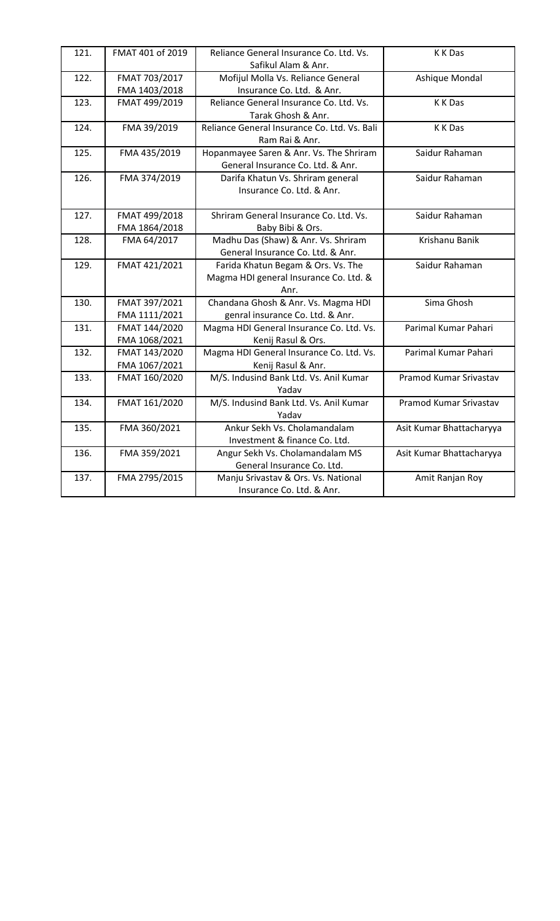| 121. | FMAT 401 of 2019               | Reliance General Insurance Co. Ltd. Vs.<br>Safikul Alam & Anr.                       | K K Das                  |
|------|--------------------------------|--------------------------------------------------------------------------------------|--------------------------|
| 122. | FMAT 703/2017                  | Mofijul Molla Vs. Reliance General                                                   | Ashique Mondal           |
|      | FMA 1403/2018                  | Insurance Co. Ltd. & Anr.                                                            |                          |
| 123. | FMAT 499/2019                  | Reliance General Insurance Co. Ltd. Vs.<br>Tarak Ghosh & Anr.                        | K K Das                  |
| 124. | FMA 39/2019                    | Reliance General Insurance Co. Ltd. Vs. Bali<br>Ram Rai & Anr.                       | K K Das                  |
| 125. | FMA 435/2019                   | Hopanmayee Saren & Anr. Vs. The Shriram<br>General Insurance Co. Ltd. & Anr.         | Saidur Rahaman           |
| 126. | FMA 374/2019                   | Darifa Khatun Vs. Shriram general<br>Insurance Co. Ltd. & Anr.                       | Saidur Rahaman           |
| 127. | FMAT 499/2018<br>FMA 1864/2018 | Shriram General Insurance Co. Ltd. Vs.<br>Baby Bibi & Ors.                           | Saidur Rahaman           |
| 128. | FMA 64/2017                    | Madhu Das (Shaw) & Anr. Vs. Shriram<br>General Insurance Co. Ltd. & Anr.             | Krishanu Banik           |
| 129. | FMAT 421/2021                  | Farida Khatun Begam & Ors. Vs. The<br>Magma HDI general Insurance Co. Ltd. &<br>Anr. | Saidur Rahaman           |
| 130. | FMAT 397/2021<br>FMA 1111/2021 | Chandana Ghosh & Anr. Vs. Magma HDI<br>genral insurance Co. Ltd. & Anr.              | Sima Ghosh               |
| 131. | FMAT 144/2020<br>FMA 1068/2021 | Magma HDI General Insurance Co. Ltd. Vs.<br>Kenij Rasul & Ors.                       | Parimal Kumar Pahari     |
| 132. | FMAT 143/2020<br>FMA 1067/2021 | Magma HDI General Insurance Co. Ltd. Vs.<br>Kenij Rasul & Anr.                       | Parimal Kumar Pahari     |
| 133. | FMAT 160/2020                  | M/S. Indusind Bank Ltd. Vs. Anil Kumar<br>Yadav                                      | Pramod Kumar Srivastav   |
| 134. | FMAT 161/2020                  | M/S. Indusind Bank Ltd. Vs. Anil Kumar<br>Yadav                                      | Pramod Kumar Srivastav   |
| 135. | FMA 360/2021                   | Ankur Sekh Vs. Cholamandalam<br>Investment & finance Co. Ltd.                        | Asit Kumar Bhattacharyya |
| 136. | FMA 359/2021                   | Angur Sekh Vs. Cholamandalam MS<br>General Insurance Co. Ltd.                        | Asit Kumar Bhattacharyya |
| 137. | FMA 2795/2015                  | Manju Srivastav & Ors. Vs. National<br>Insurance Co. Ltd. & Anr.                     | Amit Ranjan Roy          |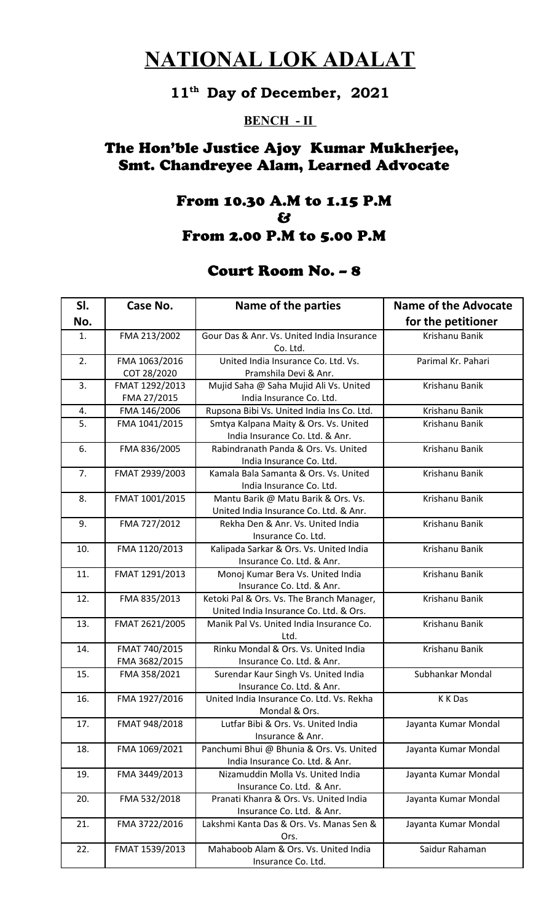# **NATIONAL LOK ADALAT**

## **11th Day of December, 2021**

#### **BENCH - II**

## The Hon'ble Justice Ajoy Kumar Mukherjee, Smt. Chandreyee Alam, Learned Advocate

### From 10.30 A.M to 1.15 P.M & From 2.00 P.M to 5.00 P.M

### Court Room No. – 8

| SI. | Case No.                       | Name of the parties                                                                 | Name of the Advocate |
|-----|--------------------------------|-------------------------------------------------------------------------------------|----------------------|
| No. |                                |                                                                                     | for the petitioner   |
| 1.  | FMA 213/2002                   | Gour Das & Anr. Vs. United India Insurance<br>Co. Ltd.                              | Krishanu Banik       |
| 2.  | FMA 1063/2016<br>COT 28/2020   | United India Insurance Co. Ltd. Vs.<br>Pramshila Devi & Anr.                        | Parimal Kr. Pahari   |
| 3.  | FMAT 1292/2013<br>FMA 27/2015  | Mujid Saha @ Saha Mujid Ali Vs. United<br>India Insurance Co. Ltd.                  | Krishanu Banik       |
| 4.  | FMA 146/2006                   | Rupsona Bibi Vs. United India Ins Co. Ltd.                                          | Krishanu Banik       |
| 5.  | FMA 1041/2015                  | Smtya Kalpana Maity & Ors. Vs. United<br>India Insurance Co. Ltd. & Anr.            | Krishanu Banik       |
| 6.  | FMA 836/2005                   | Rabindranath Panda & Ors. Vs. United<br>India Insurance Co. Ltd.                    | Krishanu Banik       |
| 7.  | FMAT 2939/2003                 | Kamala Bala Samanta & Ors. Vs. United<br>India Insurance Co. Ltd.                   | Krishanu Banik       |
| 8.  | FMAT 1001/2015                 | Mantu Barik @ Matu Barik & Ors. Vs.<br>United India Insurance Co. Ltd. & Anr.       | Krishanu Banik       |
| 9.  | FMA 727/2012                   | Rekha Den & Anr. Vs. United India<br>Insurance Co. Ltd.                             | Krishanu Banik       |
| 10. | FMA 1120/2013                  | Kalipada Sarkar & Ors. Vs. United India<br>Insurance Co. Ltd. & Anr.                | Krishanu Banik       |
| 11. | FMAT 1291/2013                 | Monoj Kumar Bera Vs. United India<br>Insurance Co. Ltd. & Anr.                      | Krishanu Banik       |
| 12. | FMA 835/2013                   | Ketoki Pal & Ors. Vs. The Branch Manager,<br>United India Insurance Co. Ltd. & Ors. | Krishanu Banik       |
| 13. | FMAT 2621/2005                 | Manik Pal Vs. United India Insurance Co.<br>Ltd.                                    | Krishanu Banik       |
| 14. | FMAT 740/2015<br>FMA 3682/2015 | Rinku Mondal & Ors. Vs. United India<br>Insurance Co. Ltd. & Anr.                   | Krishanu Banik       |
| 15. | FMA 358/2021                   | Surendar Kaur Singh Vs. United India<br>Insurance Co. Ltd. & Anr.                   | Subhankar Mondal     |
| 16. | FMA 1927/2016                  | United India Insurance Co. Ltd. Vs. Rekha<br>Mondal & Ors.                          | K K Das              |
| 17. | FMAT 948/2018                  | Lutfar Bibi & Ors. Vs. United India<br>Insurance & Anr.                             | Jayanta Kumar Mondal |
| 18. | FMA 1069/2021                  | Panchumi Bhui @ Bhunia & Ors. Vs. United<br>India Insurance Co. Ltd. & Anr.         | Jayanta Kumar Mondal |
| 19. | FMA 3449/2013                  | Nizamuddin Molla Vs. United India<br>Insurance Co. Ltd. & Anr.                      | Jayanta Kumar Mondal |
| 20. | FMA 532/2018                   | Pranati Khanra & Ors. Vs. United India<br>Insurance Co. Ltd. & Anr.                 | Jayanta Kumar Mondal |
| 21. | FMA 3722/2016                  | Lakshmi Kanta Das & Ors. Vs. Manas Sen &<br>Ors.                                    | Jayanta Kumar Mondal |
| 22. | FMAT 1539/2013                 | Mahaboob Alam & Ors. Vs. United India<br>Insurance Co. Ltd.                         | Saidur Rahaman       |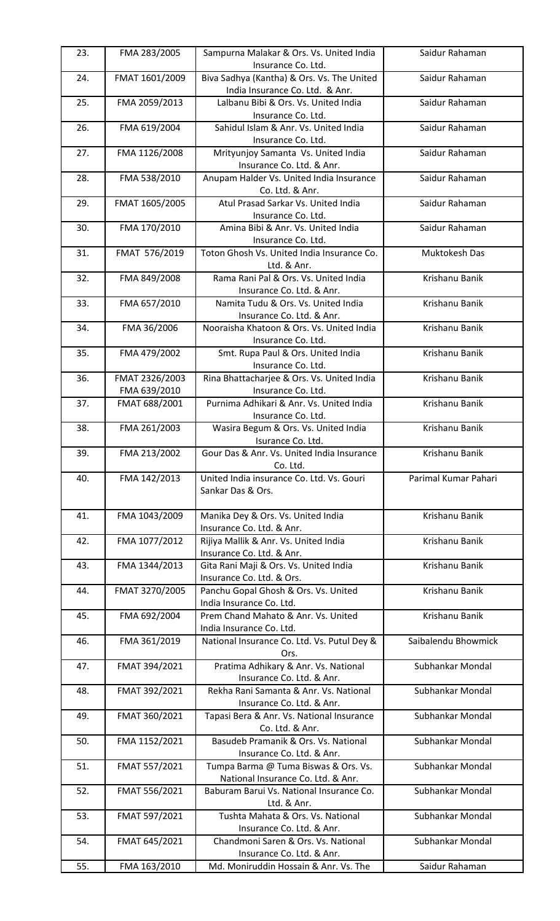| 23. | FMA 283/2005                   | Sampurna Malakar & Ors. Vs. United India<br>Insurance Co. Ltd.                | Saidur Rahaman       |
|-----|--------------------------------|-------------------------------------------------------------------------------|----------------------|
| 24. | FMAT 1601/2009                 | Biva Sadhya (Kantha) & Ors. Vs. The United<br>India Insurance Co. Ltd. & Anr. | Saidur Rahaman       |
| 25. | FMA 2059/2013                  | Lalbanu Bibi & Ors. Vs. United India<br>Insurance Co. Ltd.                    | Saidur Rahaman       |
| 26. | FMA 619/2004                   | Sahidul Islam & Anr. Vs. United India<br>Insurance Co. Ltd.                   | Saidur Rahaman       |
| 27. | FMA 1126/2008                  | Mrityunjoy Samanta Vs. United India<br>Insurance Co. Ltd. & Anr.              | Saidur Rahaman       |
| 28. | FMA 538/2010                   | Anupam Halder Vs. United India Insurance<br>Co. Ltd. & Anr.                   | Saidur Rahaman       |
| 29. | FMAT 1605/2005                 | Atul Prasad Sarkar Vs. United India<br>Insurance Co. Ltd.                     | Saidur Rahaman       |
| 30. | FMA 170/2010                   | Amina Bibi & Anr. Vs. United India<br>Insurance Co. Ltd.                      | Saidur Rahaman       |
| 31. | FMAT 576/2019                  | Toton Ghosh Vs. United India Insurance Co.<br>Ltd. & Anr.                     | Muktokesh Das        |
| 32. | FMA 849/2008                   | Rama Rani Pal & Ors. Vs. United India<br>Insurance Co. Ltd. & Anr.            | Krishanu Banik       |
| 33. | FMA 657/2010                   | Namita Tudu & Ors. Vs. United India<br>Insurance Co. Ltd. & Anr.              | Krishanu Banik       |
| 34. | FMA 36/2006                    | Nooraisha Khatoon & Ors. Vs. United India<br>Insurance Co. Ltd.               | Krishanu Banik       |
| 35. | FMA 479/2002                   | Smt. Rupa Paul & Ors. United India<br>Insurance Co. Ltd.                      | Krishanu Banik       |
| 36. | FMAT 2326/2003<br>FMA 639/2010 | Rina Bhattacharjee & Ors. Vs. United India<br>Insurance Co. Ltd.              | Krishanu Banik       |
| 37. | FMAT 688/2001                  | Purnima Adhikari & Anr. Vs. United India<br>Insurance Co. Ltd.                | Krishanu Banik       |
| 38. | FMA 261/2003                   | Wasira Begum & Ors. Vs. United India<br>Isurance Co. Ltd.                     | Krishanu Banik       |
| 39. | FMA 213/2002                   | Gour Das & Anr. Vs. United India Insurance<br>Co. Ltd.                        | Krishanu Banik       |
| 40. | FMA 142/2013                   | United India insurance Co. Ltd. Vs. Gouri<br>Sankar Das & Ors.                | Parimal Kumar Pahari |
| 41. | FMA 1043/2009                  | Manika Dey & Ors. Vs. United India<br>Insurance Co. Ltd. & Anr.               | Krishanu Banik       |
| 42. | FMA 1077/2012                  | Rijiya Mallik & Anr. Vs. United India<br>Insurance Co. Ltd. & Anr.            | Krishanu Banik       |
| 43. | FMA 1344/2013                  | Gita Rani Maji & Ors. Vs. United India<br>Insurance Co. Ltd. & Ors.           | Krishanu Banik       |
| 44. | FMAT 3270/2005                 | Panchu Gopal Ghosh & Ors. Vs. United<br>India Insurance Co. Ltd.              | Krishanu Banik       |
| 45. | FMA 692/2004                   | Prem Chand Mahato & Anr. Vs. United<br>India Insurance Co. Ltd.               | Krishanu Banik       |
| 46. | FMA 361/2019                   | National Insurance Co. Ltd. Vs. Putul Dey &<br>Ors.                           | Saibalendu Bhowmick  |
| 47. | FMAT 394/2021                  | Pratima Adhikary & Anr. Vs. National<br>Insurance Co. Ltd. & Anr.             | Subhankar Mondal     |
| 48. | FMAT 392/2021                  | Rekha Rani Samanta & Anr. Vs. National<br>Insurance Co. Ltd. & Anr.           | Subhankar Mondal     |
| 49. | FMAT 360/2021                  | Tapasi Bera & Anr. Vs. National Insurance<br>Co. Ltd. & Anr.                  | Subhankar Mondal     |
| 50. | FMA 1152/2021                  | Basudeb Pramanik & Ors. Vs. National<br>Insurance Co. Ltd. & Anr.             | Subhankar Mondal     |
| 51. | FMAT 557/2021                  | Tumpa Barma @ Tuma Biswas & Ors. Vs.<br>National Insurance Co. Ltd. & Anr.    | Subhankar Mondal     |
| 52. | FMAT 556/2021                  | Baburam Barui Vs. National Insurance Co.<br>Ltd. & Anr.                       | Subhankar Mondal     |
| 53. | FMAT 597/2021                  | Tushta Mahata & Ors. Vs. National<br>Insurance Co. Ltd. & Anr.                | Subhankar Mondal     |
| 54. | FMAT 645/2021                  | Chandmoni Saren & Ors. Vs. National<br>Insurance Co. Ltd. & Anr.              | Subhankar Mondal     |
| 55. | FMA 163/2010                   | Md. Moniruddin Hossain & Anr. Vs. The                                         | Saidur Rahaman       |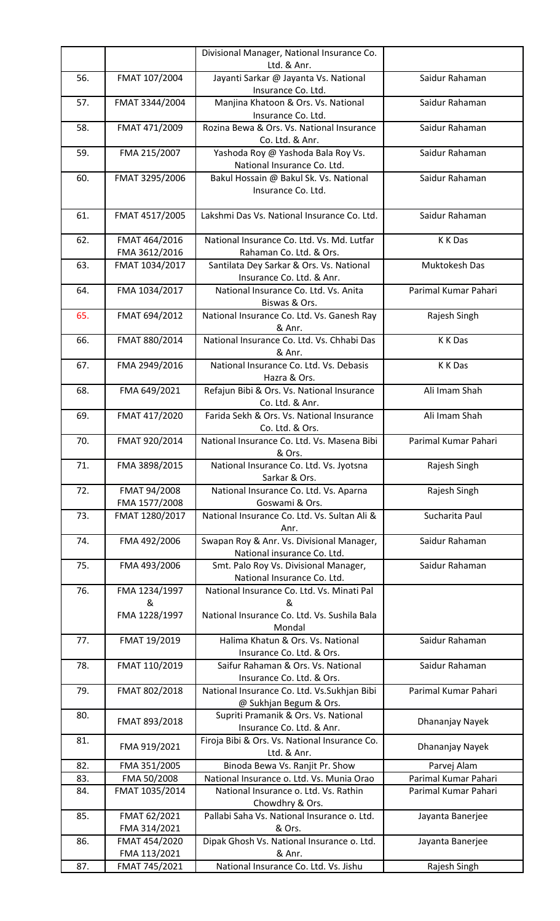|     |                                | Divisional Manager, National Insurance Co.                               |                      |
|-----|--------------------------------|--------------------------------------------------------------------------|----------------------|
|     |                                | Ltd. & Anr.                                                              |                      |
| 56. | FMAT 107/2004                  | Jayanti Sarkar @ Jayanta Vs. National<br>Insurance Co. Ltd.              | Saidur Rahaman       |
| 57. | FMAT 3344/2004                 | Manjina Khatoon & Ors. Vs. National<br>Insurance Co. Ltd.                | Saidur Rahaman       |
| 58. | FMAT 471/2009                  | Rozina Bewa & Ors. Vs. National Insurance<br>Co. Ltd. & Anr.             | Saidur Rahaman       |
| 59. | FMA 215/2007                   | Yashoda Roy @ Yashoda Bala Roy Vs.<br>National Insurance Co. Ltd.        | Saidur Rahaman       |
| 60. | FMAT 3295/2006                 | Bakul Hossain @ Bakul Sk. Vs. National<br>Insurance Co. Ltd.             | Saidur Rahaman       |
| 61. | FMAT 4517/2005                 | Lakshmi Das Vs. National Insurance Co. Ltd.                              | Saidur Rahaman       |
| 62. | FMAT 464/2016<br>FMA 3612/2016 | National Insurance Co. Ltd. Vs. Md. Lutfar<br>Rahaman Co. Ltd. & Ors.    | K K Das              |
| 63. | FMAT 1034/2017                 | Santilata Dey Sarkar & Ors. Vs. National<br>Insurance Co. Ltd. & Anr.    | Muktokesh Das        |
| 64. | FMA 1034/2017                  | National Insurance Co. Ltd. Vs. Anita<br>Biswas & Ors.                   | Parimal Kumar Pahari |
| 65. | FMAT 694/2012                  | National Insurance Co. Ltd. Vs. Ganesh Ray<br>& Anr.                     | Rajesh Singh         |
| 66. | FMAT 880/2014                  | National Insurance Co. Ltd. Vs. Chhabi Das<br>& Anr.                     | K K Das              |
| 67. | FMA 2949/2016                  | National Insurance Co. Ltd. Vs. Debasis<br>Hazra & Ors.                  | K K Das              |
| 68. | FMA 649/2021                   | Refajun Bibi & Ors. Vs. National Insurance<br>Co. Ltd. & Anr.            | Ali Imam Shah        |
| 69. | FMAT 417/2020                  | Farida Sekh & Ors. Vs. National Insurance<br>Co. Ltd. & Ors.             | Ali Imam Shah        |
| 70. | FMAT 920/2014                  | National Insurance Co. Ltd. Vs. Masena Bibi<br>& Ors.                    | Parimal Kumar Pahari |
| 71. | FMA 3898/2015                  | National Insurance Co. Ltd. Vs. Jyotsna<br>Sarkar & Ors.                 | Rajesh Singh         |
| 72. | FMAT 94/2008<br>FMA 1577/2008  | National Insurance Co. Ltd. Vs. Aparna<br>Goswami & Ors.                 | Rajesh Singh         |
| 73. | FMAT 1280/2017                 | National Insurance Co. Ltd. Vs. Sultan Ali &<br>Anr.                     | Sucharita Paul       |
| 74. | FMA 492/2006                   | Swapan Roy & Anr. Vs. Divisional Manager,<br>National insurance Co. Ltd. | Saidur Rahaman       |
| 75. | FMA 493/2006                   | Smt. Palo Roy Vs. Divisional Manager,<br>National Insurance Co. Ltd.     | Saidur Rahaman       |
| 76. | FMA 1234/1997<br>&             | National Insurance Co. Ltd. Vs. Minati Pal<br>&                          |                      |
|     | FMA 1228/1997                  | National Insurance Co. Ltd. Vs. Sushila Bala<br>Mondal                   |                      |
| 77. | FMAT 19/2019                   | Halima Khatun & Ors. Vs. National<br>Insurance Co. Ltd. & Ors.           | Saidur Rahaman       |
| 78. | FMAT 110/2019                  | Saifur Rahaman & Ors. Vs. National<br>Insurance Co. Ltd. & Ors.          | Saidur Rahaman       |
| 79. | FMAT 802/2018                  | National Insurance Co. Ltd. Vs.Sukhjan Bibi<br>@ Sukhjan Begum & Ors.    | Parimal Kumar Pahari |
| 80. | FMAT 893/2018                  | Supriti Pramanik & Ors. Vs. National<br>Insurance Co. Ltd. & Anr.        | Dhananjay Nayek      |
| 81. | FMA 919/2021                   | Firoja Bibi & Ors. Vs. National Insurance Co.<br>Ltd. & Anr.             | Dhananjay Nayek      |
| 82. | FMA 351/2005                   | Binoda Bewa Vs. Ranjit Pr. Show                                          | Parvej Alam          |
| 83. | FMA 50/2008                    | National Insurance o. Ltd. Vs. Munia Orao                                | Parimal Kumar Pahari |
| 84. | FMAT 1035/2014                 | National Insurance o. Ltd. Vs. Rathin<br>Chowdhry & Ors.                 | Parimal Kumar Pahari |
| 85. | FMAT 62/2021<br>FMA 314/2021   | Pallabi Saha Vs. National Insurance o. Ltd.<br>& Ors.                    | Jayanta Banerjee     |
| 86. | FMAT 454/2020                  | Dipak Ghosh Vs. National Insurance o. Ltd.                               | Jayanta Banerjee     |
|     | FMA 113/2021                   | & Anr.                                                                   |                      |
| 87. | FMAT 745/2021                  | National Insurance Co. Ltd. Vs. Jishu                                    | Rajesh Singh         |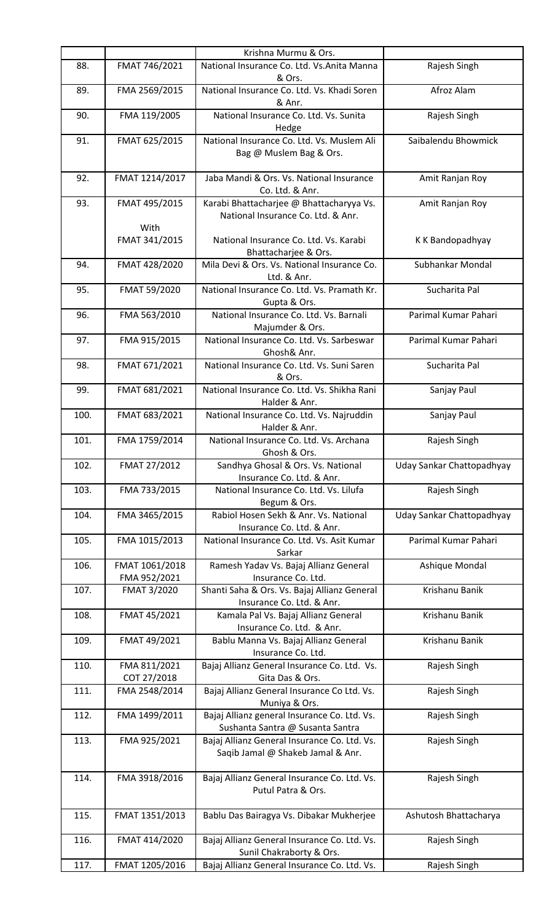|      |                                | Krishna Murmu & Ors.                                                              |                           |
|------|--------------------------------|-----------------------------------------------------------------------------------|---------------------------|
| 88.  | FMAT 746/2021                  | National Insurance Co. Ltd. Vs.Anita Manna<br>& Ors.                              | Rajesh Singh              |
| 89.  | FMA 2569/2015                  | National Insurance Co. Ltd. Vs. Khadi Soren<br>& Anr.                             | Afroz Alam                |
| 90.  | FMA 119/2005                   | National Insurance Co. Ltd. Vs. Sunita<br>Hedge                                   | Rajesh Singh              |
| 91.  | FMAT 625/2015                  | National Insurance Co. Ltd. Vs. Muslem Ali<br>Bag @ Muslem Bag & Ors.             | Saibalendu Bhowmick       |
| 92.  | FMAT 1214/2017                 | Jaba Mandi & Ors. Vs. National Insurance<br>Co. Ltd. & Anr.                       | Amit Ranjan Roy           |
| 93.  | FMAT 495/2015                  | Karabi Bhattacharjee @ Bhattacharyya Vs.<br>National Insurance Co. Ltd. & Anr.    | Amit Ranjan Roy           |
|      | With<br>FMAT 341/2015          | National Insurance Co. Ltd. Vs. Karabi<br>Bhattacharjee & Ors.                    | K K Bandopadhyay          |
| 94.  | FMAT 428/2020                  | Mila Devi & Ors. Vs. National Insurance Co.<br>Ltd. & Anr.                        | Subhankar Mondal          |
| 95.  | FMAT 59/2020                   | National Insurance Co. Ltd. Vs. Pramath Kr.<br>Gupta & Ors.                       | Sucharita Pal             |
| 96.  | FMA 563/2010                   | National Insurance Co. Ltd. Vs. Barnali<br>Majumder & Ors.                        | Parimal Kumar Pahari      |
| 97.  | FMA 915/2015                   | National Insurance Co. Ltd. Vs. Sarbeswar<br>Ghosh& Anr.                          | Parimal Kumar Pahari      |
| 98.  | FMAT 671/2021                  | National Insurance Co. Ltd. Vs. Suni Saren<br>& Ors.                              | Sucharita Pal             |
| 99.  | FMAT 681/2021                  | National Insurance Co. Ltd. Vs. Shikha Rani<br>Halder & Anr.                      | Sanjay Paul               |
| 100. | FMAT 683/2021                  | National Insurance Co. Ltd. Vs. Najruddin<br>Halder & Anr.                        | Sanjay Paul               |
| 101. | FMA 1759/2014                  | National Insurance Co. Ltd. Vs. Archana<br>Ghosh & Ors.                           | Rajesh Singh              |
| 102. | FMAT 27/2012                   | Sandhya Ghosal & Ors. Vs. National<br>Insurance Co. Ltd. & Anr.                   | Uday Sankar Chattopadhyay |
| 103. | FMA 733/2015                   | National Insurance Co. Ltd. Vs. Lilufa<br>Begum & Ors.                            | Rajesh Singh              |
| 104. | FMA 3465/2015                  | Rabiol Hosen Sekh & Anr. Vs. National<br>Insurance Co. Ltd. & Anr.                | Uday Sankar Chattopadhyay |
| 105. | FMA 1015/2013                  | National Insurance Co. Ltd. Vs. Asit Kumar<br>Sarkar                              | Parimal Kumar Pahari      |
| 106. | FMAT 1061/2018<br>FMA 952/2021 | Ramesh Yadav Vs. Bajaj Allianz General<br>Insurance Co. Ltd.                      | Ashique Mondal            |
| 107. | FMAT 3/2020                    | Shanti Saha & Ors. Vs. Bajaj Allianz General<br>Insurance Co. Ltd. & Anr.         | Krishanu Banik            |
| 108. | FMAT 45/2021                   | Kamala Pal Vs. Bajaj Allianz General<br>Insurance Co. Ltd. & Anr.                 | Krishanu Banik            |
| 109. | FMAT 49/2021                   | Bablu Manna Vs. Bajaj Allianz General<br>Insurance Co. Ltd.                       | Krishanu Banik            |
| 110. | FMA 811/2021<br>COT 27/2018    | Bajaj Allianz General Insurance Co. Ltd. Vs.<br>Gita Das & Ors.                   | Rajesh Singh              |
| 111. | FMA 2548/2014                  | Bajaj Allianz General Insurance Co Ltd. Vs.<br>Muniya & Ors.                      | Rajesh Singh              |
| 112. | FMA 1499/2011                  | Bajaj Allianz general Insurance Co. Ltd. Vs.<br>Sushanta Santra @ Susanta Santra  | Rajesh Singh              |
| 113. | FMA 925/2021                   | Bajaj Allianz General Insurance Co. Ltd. Vs.<br>Saqib Jamal @ Shakeb Jamal & Anr. | Rajesh Singh              |
| 114. | FMA 3918/2016                  | Bajaj Allianz General Insurance Co. Ltd. Vs.<br>Putul Patra & Ors.                | Rajesh Singh              |
|      |                                |                                                                                   |                           |
| 115. | FMAT 1351/2013                 | Bablu Das Bairagya Vs. Dibakar Mukherjee                                          | Ashutosh Bhattacharya     |
| 116. | FMAT 414/2020                  | Bajaj Allianz General Insurance Co. Ltd. Vs.<br>Sunil Chakraborty & Ors.          | Rajesh Singh              |